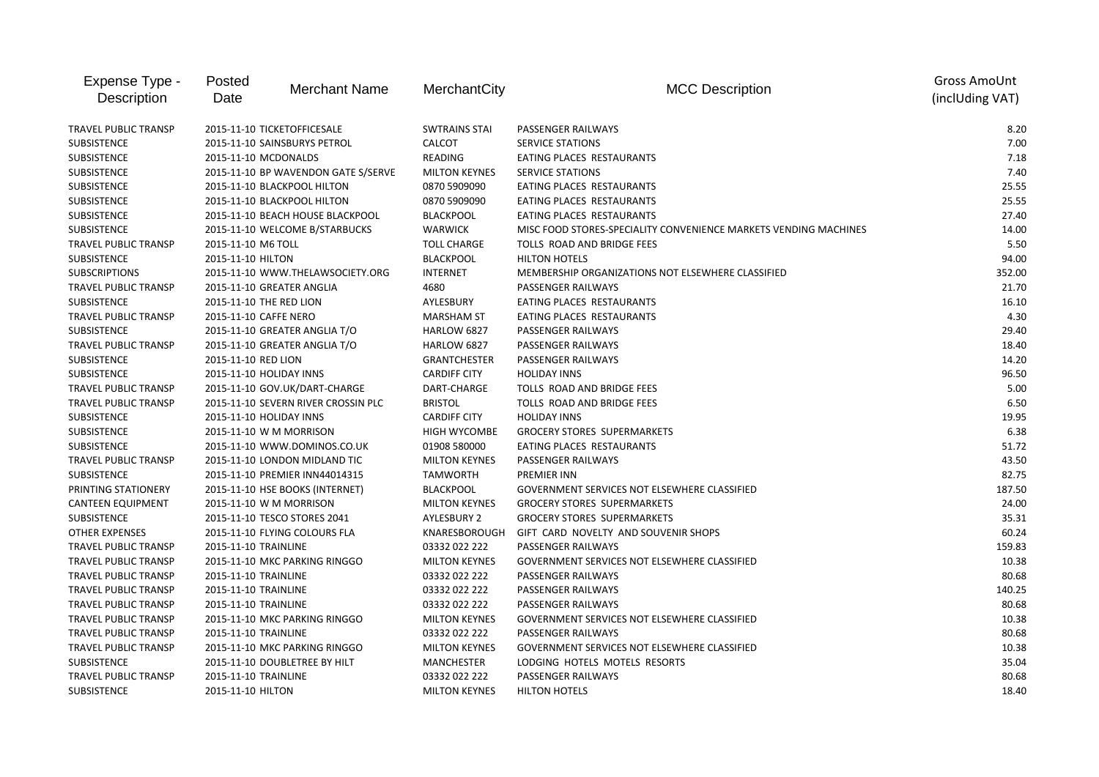| Expense Type -<br>Description | Posted<br>Date          | <b>Merchant Name</b>                | MerchantCity         | <b>MCC Description</b>                                           | <b>Gross AmoUnt</b><br>(inclUding VAT) |
|-------------------------------|-------------------------|-------------------------------------|----------------------|------------------------------------------------------------------|----------------------------------------|
| <b>TRAVEL PUBLIC TRANSP</b>   |                         | 2015-11-10 TICKETOFFICESALE         | <b>SWTRAINS STAI</b> | PASSENGER RAILWAYS                                               | 8.20                                   |
| <b>SUBSISTENCE</b>            |                         | 2015-11-10 SAINSBURYS PETROL        | <b>CALCOT</b>        | <b>SERVICE STATIONS</b>                                          | 7.00                                   |
| SUBSISTENCE                   | 2015-11-10 MCDONALDS    |                                     | READING              | EATING PLACES RESTAURANTS                                        | 7.18                                   |
| SUBSISTENCE                   |                         | 2015-11-10 BP WAVENDON GATE S/SERVE | <b>MILTON KEYNES</b> | <b>SERVICE STATIONS</b>                                          | 7.40                                   |
| SUBSISTENCE                   |                         | 2015-11-10 BLACKPOOL HILTON         | 0870 5909090         | EATING PLACES RESTAURANTS                                        | 25.55                                  |
| <b>SUBSISTENCE</b>            |                         | 2015-11-10 BLACKPOOL HILTON         | 0870 5909090         | EATING PLACES RESTAURANTS                                        | 25.55                                  |
| SUBSISTENCE                   |                         | 2015-11-10 BEACH HOUSE BLACKPOOL    | <b>BLACKPOOL</b>     | EATING PLACES RESTAURANTS                                        | 27.40                                  |
| SUBSISTENCE                   |                         | 2015-11-10 WELCOME B/STARBUCKS      | <b>WARWICK</b>       | MISC FOOD STORES-SPECIALITY CONVENIENCE MARKETS VENDING MACHINES | 14.00                                  |
| TRAVEL PUBLIC TRANSP          | 2015-11-10 M6 TOLL      |                                     | <b>TOLL CHARGE</b>   | TOLLS ROAD AND BRIDGE FEES                                       | 5.50                                   |
| SUBSISTENCE                   | 2015-11-10 HILTON       |                                     | <b>BLACKPOOL</b>     | <b>HILTON HOTELS</b>                                             | 94.00                                  |
| <b>SUBSCRIPTIONS</b>          |                         | 2015-11-10 WWW.THELAWSOCIETY.ORG    | <b>INTERNET</b>      | MEMBERSHIP ORGANIZATIONS NOT ELSEWHERE CLASSIFIED                | 352.00                                 |
| <b>TRAVEL PUBLIC TRANSP</b>   |                         | 2015-11-10 GREATER ANGLIA           | 4680                 | PASSENGER RAILWAYS                                               | 21.70                                  |
| <b>SUBSISTENCE</b>            | 2015-11-10 THE RED LION |                                     | AYLESBURY            | EATING PLACES RESTAURANTS                                        | 16.10                                  |
| <b>TRAVEL PUBLIC TRANSP</b>   | 2015-11-10 CAFFE NERO   |                                     | <b>MARSHAM ST</b>    | EATING PLACES RESTAURANTS                                        | 4.30                                   |
| <b>SUBSISTENCE</b>            |                         | 2015-11-10 GREATER ANGLIA T/O       | <b>HARLOW 6827</b>   | PASSENGER RAILWAYS                                               | 29.40                                  |
| TRAVEL PUBLIC TRANSP          |                         | 2015-11-10 GREATER ANGLIA T/O       | HARLOW 6827          | PASSENGER RAILWAYS                                               | 18.40                                  |
| <b>SUBSISTENCE</b>            | 2015-11-10 RED LION     |                                     | <b>GRANTCHESTER</b>  | PASSENGER RAILWAYS                                               | 14.20                                  |
| SUBSISTENCE                   | 2015-11-10 HOLIDAY INNS |                                     | <b>CARDIFF CITY</b>  | <b>HOLIDAY INNS</b>                                              | 96.50                                  |
| TRAVEL PUBLIC TRANSP          |                         | 2015-11-10 GOV.UK/DART-CHARGE       | DART-CHARGE          | TOLLS ROAD AND BRIDGE FEES                                       | 5.00                                   |
| TRAVEL PUBLIC TRANSP          |                         | 2015-11-10 SEVERN RIVER CROSSIN PLC | <b>BRISTOL</b>       | TOLLS ROAD AND BRIDGE FEES                                       | 6.50                                   |
| SUBSISTENCE                   | 2015-11-10 HOLIDAY INNS |                                     | <b>CARDIFF CITY</b>  | <b>HOLIDAY INNS</b>                                              | 19.95                                  |
| SUBSISTENCE                   |                         | 2015-11-10 W M MORRISON             | <b>HIGH WYCOMBE</b>  | <b>GROCERY STORES SUPERMARKETS</b>                               | 6.38                                   |
| <b>SUBSISTENCE</b>            |                         | 2015-11-10 WWW.DOMINOS.CO.UK        | 01908 580000         | EATING PLACES RESTAURANTS                                        | 51.72                                  |
| TRAVEL PUBLIC TRANSP          |                         | 2015-11-10 LONDON MIDLAND TIC       | <b>MILTON KEYNES</b> | PASSENGER RAILWAYS                                               | 43.50                                  |
| SUBSISTENCE                   |                         | 2015-11-10 PREMIER INN44014315      | <b>TAMWORTH</b>      | PREMIER INN                                                      | 82.75                                  |
| PRINTING STATIONERY           |                         | 2015-11-10 HSE BOOKS (INTERNET)     | <b>BLACKPOOL</b>     | GOVERNMENT SERVICES NOT ELSEWHERE CLASSIFIED                     | 187.50                                 |
| <b>CANTEEN EQUIPMENT</b>      |                         | 2015-11-10 W M MORRISON             | <b>MILTON KEYNES</b> | <b>GROCERY STORES SUPERMARKETS</b>                               | 24.00                                  |
| <b>SUBSISTENCE</b>            |                         | 2015-11-10 TESCO STORES 2041        | <b>AYLESBURY 2</b>   | <b>GROCERY STORES SUPERMARKETS</b>                               | 35.31                                  |
| <b>OTHER EXPENSES</b>         |                         | 2015-11-10 FLYING COLOURS FLA       | KNARESBOROUGH        | GIFT CARD NOVELTY AND SOUVENIR SHOPS                             | 60.24                                  |
| <b>TRAVEL PUBLIC TRANSP</b>   | 2015-11-10 TRAINLINE    |                                     | 03332 022 222        | PASSENGER RAILWAYS                                               | 159.83                                 |
| TRAVEL PUBLIC TRANSP          |                         | 2015-11-10 MKC PARKING RINGGO       | <b>MILTON KEYNES</b> | GOVERNMENT SERVICES NOT ELSEWHERE CLASSIFIED                     | 10.38                                  |
| <b>TRAVEL PUBLIC TRANSP</b>   | 2015-11-10 TRAINLINE    |                                     | 03332 022 222        | PASSENGER RAILWAYS                                               | 80.68                                  |
| <b>TRAVEL PUBLIC TRANSP</b>   | 2015-11-10 TRAINLINE    |                                     | 03332 022 222        | PASSENGER RAILWAYS                                               | 140.25                                 |
| TRAVEL PUBLIC TRANSP          | 2015-11-10 TRAINLINE    |                                     | 03332 022 222        | PASSENGER RAILWAYS                                               | 80.68                                  |
| TRAVEL PUBLIC TRANSP          |                         | 2015-11-10 MKC PARKING RINGGO       | <b>MILTON KEYNES</b> | GOVERNMENT SERVICES NOT ELSEWHERE CLASSIFIED                     | 10.38                                  |
| TRAVEL PUBLIC TRANSP          | 2015-11-10 TRAINLINE    |                                     | 03332 022 222        | PASSENGER RAILWAYS                                               | 80.68                                  |
| <b>TRAVEL PUBLIC TRANSP</b>   |                         | 2015-11-10 MKC PARKING RINGGO       | <b>MILTON KEYNES</b> | GOVERNMENT SERVICES NOT ELSEWHERE CLASSIFIED                     | 10.38                                  |
| SUBSISTENCE                   |                         | 2015-11-10 DOUBLETREE BY HILT       | <b>MANCHESTER</b>    | LODGING HOTELS MOTELS RESORTS                                    | 35.04                                  |
| <b>TRAVEL PUBLIC TRANSP</b>   | 2015-11-10 TRAINLINE    |                                     | 03332 022 222        | PASSENGER RAILWAYS                                               | 80.68                                  |
| <b>SUBSISTENCE</b>            | 2015-11-10 HILTON       |                                     | <b>MILTON KEYNES</b> | <b>HILTON HOTELS</b>                                             | 18.40                                  |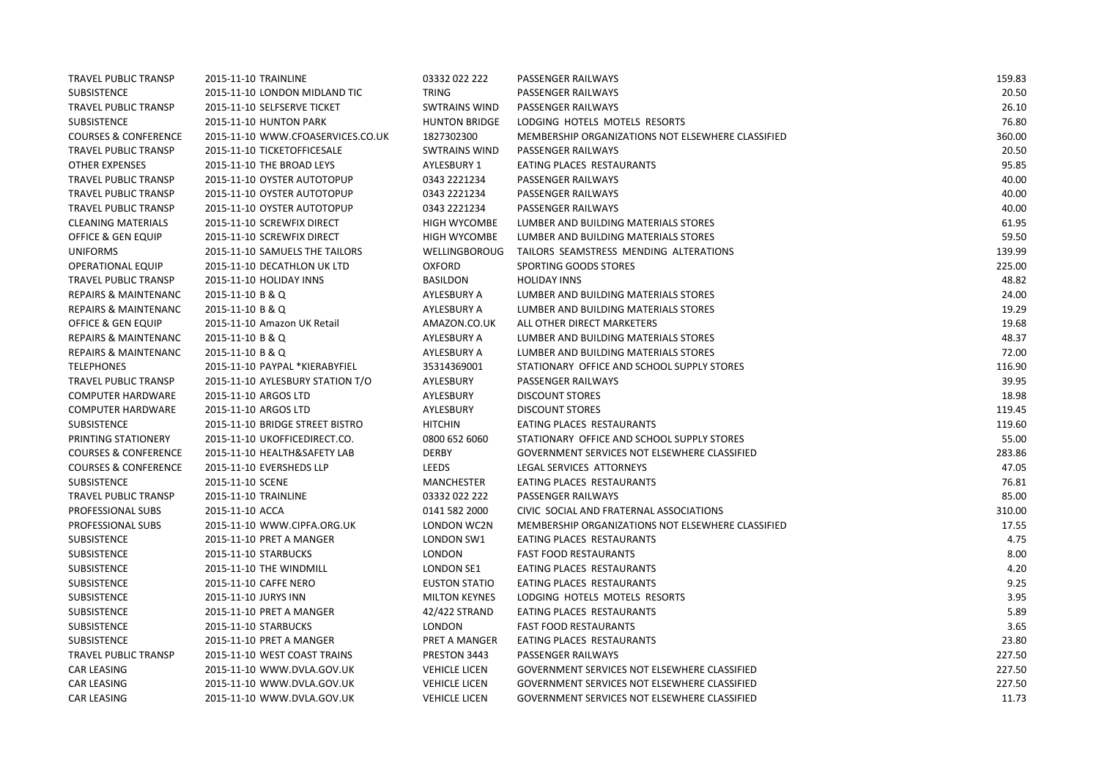| TRAVEL PUBLIC TRANSP            | 2015-11-10 TRAINLINE              | 03332 022 222        | PASSENGER RAILWAYS                                | 159.83 |
|---------------------------------|-----------------------------------|----------------------|---------------------------------------------------|--------|
| <b>SUBSISTENCE</b>              | 2015-11-10 LONDON MIDLAND TIC     | TRING                | PASSENGER RAILWAYS                                | 20.50  |
| <b>TRAVEL PUBLIC TRANSP</b>     | 2015-11-10 SELFSERVE TICKET       | <b>SWTRAINS WIND</b> | PASSENGER RAILWAYS                                | 26.10  |
| SUBSISTENCE                     | 2015-11-10 HUNTON PARK            | <b>HUNTON BRIDGE</b> | LODGING HOTELS MOTELS RESORTS                     | 76.80  |
| <b>COURSES &amp; CONFERENCE</b> | 2015-11-10 WWW.CFOASERVICES.CO.UK | 1827302300           | MEMBERSHIP ORGANIZATIONS NOT ELSEWHERE CLASSIFIED | 360.00 |
| TRAVEL PUBLIC TRANSP            | 2015-11-10 TICKETOFFICESALE       | <b>SWTRAINS WIND</b> | PASSENGER RAILWAYS                                | 20.50  |
| <b>OTHER EXPENSES</b>           | 2015-11-10 THE BROAD LEYS         | <b>AYLESBURY 1</b>   | EATING PLACES RESTAURANTS                         | 95.85  |
| <b>TRAVEL PUBLIC TRANSP</b>     | 2015-11-10 OYSTER AUTOTOPUP       | 0343 2221234         | PASSENGER RAILWAYS                                | 40.00  |
| <b>TRAVEL PUBLIC TRANSP</b>     | 2015-11-10 OYSTER AUTOTOPUP       | 0343 2221234         | PASSENGER RAILWAYS                                | 40.00  |
| TRAVEL PUBLIC TRANSP            | 2015-11-10 OYSTER AUTOTOPUP       | 0343 2221234         | PASSENGER RAILWAYS                                | 40.00  |
| <b>CLEANING MATERIALS</b>       | 2015-11-10 SCREWFIX DIRECT        | <b>HIGH WYCOMBE</b>  | LUMBER AND BUILDING MATERIALS STORES              | 61.95  |
| OFFICE & GEN EQUIP              | 2015-11-10 SCREWFIX DIRECT        | <b>HIGH WYCOMBE</b>  | LUMBER AND BUILDING MATERIALS STORES              | 59.50  |
| <b>UNIFORMS</b>                 | 2015-11-10 SAMUELS THE TAILORS    | <b>WELLINGBOROUG</b> | TAILORS SEAMSTRESS MENDING ALTERATIONS            | 139.99 |
| <b>OPERATIONAL EQUIP</b>        | 2015-11-10 DECATHLON UK LTD       | <b>OXFORD</b>        | SPORTING GOODS STORES                             | 225.00 |
| TRAVEL PUBLIC TRANSP            | 2015-11-10 HOLIDAY INNS           | <b>BASILDON</b>      | <b>HOLIDAY INNS</b>                               | 48.82  |
| <b>REPAIRS &amp; MAINTENANC</b> | 2015-11-10 B & Q                  | AYLESBURY A          | LUMBER AND BUILDING MATERIALS STORES              | 24.00  |
| <b>REPAIRS &amp; MAINTENANC</b> | 2015-11-10 B & Q                  | AYLESBURY A          | LUMBER AND BUILDING MATERIALS STORES              | 19.29  |
| OFFICE & GEN EQUIP              | 2015-11-10 Amazon UK Retail       | AMAZON.CO.UK         | ALL OTHER DIRECT MARKETERS                        | 19.68  |
| <b>REPAIRS &amp; MAINTENANC</b> | 2015-11-10 B & Q                  | AYLESBURY A          | LUMBER AND BUILDING MATERIALS STORES              | 48.37  |
| <b>REPAIRS &amp; MAINTENANC</b> | 2015-11-10 B & Q                  | AYLESBURY A          | LUMBER AND BUILDING MATERIALS STORES              | 72.00  |
| <b>TELEPHONES</b>               | 2015-11-10 PAYPAL *KIERABYFIEL    | 35314369001          | STATIONARY OFFICE AND SCHOOL SUPPLY STORES        | 116.90 |
| TRAVEL PUBLIC TRANSP            | 2015-11-10 AYLESBURY STATION T/O  | AYLESBURY            | PASSENGER RAILWAYS                                | 39.95  |
| <b>COMPUTER HARDWARE</b>        | 2015-11-10 ARGOS LTD              | AYLESBURY            | <b>DISCOUNT STORES</b>                            | 18.98  |
| <b>COMPUTER HARDWARE</b>        | 2015-11-10 ARGOS LTD              | AYLESBURY            | <b>DISCOUNT STORES</b>                            | 119.45 |
| SUBSISTENCE                     | 2015-11-10 BRIDGE STREET BISTRO   | <b>HITCHIN</b>       | EATING PLACES RESTAURANTS                         | 119.60 |
| PRINTING STATIONERY             | 2015-11-10 UKOFFICEDIRECT.CO.     | 0800 652 6060        | STATIONARY OFFICE AND SCHOOL SUPPLY STORES        | 55.00  |
| <b>COURSES &amp; CONFERENCE</b> | 2015-11-10 HEALTH&SAFETY LAB      | <b>DERBY</b>         | GOVERNMENT SERVICES NOT ELSEWHERE CLASSIFIED      | 283.86 |
| <b>COURSES &amp; CONFERENCE</b> | 2015-11-10 EVERSHEDS LLP          | LEEDS                | LEGAL SERVICES ATTORNEYS                          | 47.05  |
| SUBSISTENCE                     | 2015-11-10 SCENE                  | <b>MANCHESTER</b>    | EATING PLACES RESTAURANTS                         | 76.81  |
| TRAVEL PUBLIC TRANSP            | 2015-11-10 TRAINLINE              | 03332 022 222        | PASSENGER RAILWAYS                                | 85.00  |
| PROFESSIONAL SUBS               | 2015-11-10 ACCA                   | 0141 582 2000        | CIVIC SOCIAL AND FRATERNAL ASSOCIATIONS           | 310.00 |
| PROFESSIONAL SUBS               | 2015-11-10 WWW.CIPFA.ORG.UK       | LONDON WC2N          | MEMBERSHIP ORGANIZATIONS NOT ELSEWHERE CLASSIFIED | 17.55  |
| SUBSISTENCE                     | 2015-11-10 PRET A MANGER          | LONDON SW1           | EATING PLACES RESTAURANTS                         | 4.75   |
| SUBSISTENCE                     | 2015-11-10 STARBUCKS              | <b>LONDON</b>        | <b>FAST FOOD RESTAURANTS</b>                      | 8.00   |
| SUBSISTENCE                     | 2015-11-10 THE WINDMILL           | LONDON SE1           | EATING PLACES RESTAURANTS                         | 4.20   |
| SUBSISTENCE                     | 2015-11-10 CAFFE NERO             | <b>EUSTON STATIO</b> | EATING PLACES RESTAURANTS                         | 9.25   |
| <b>SUBSISTENCE</b>              | 2015-11-10 JURYS INN              | <b>MILTON KEYNES</b> | LODGING HOTELS MOTELS RESORTS                     | 3.95   |
| SUBSISTENCE                     | 2015-11-10 PRET A MANGER          | 42/422 STRAND        | EATING PLACES RESTAURANTS                         | 5.89   |
| SUBSISTENCE                     | 2015-11-10 STARBUCKS              | <b>LONDON</b>        | <b>FAST FOOD RESTAURANTS</b>                      | 3.65   |
| SUBSISTENCE                     | 2015-11-10 PRET A MANGER          | PRET A MANGER        | EATING PLACES RESTAURANTS                         | 23.80  |
| <b>TRAVEL PUBLIC TRANSP</b>     | 2015-11-10 WEST COAST TRAINS      | PRESTON 3443         | PASSENGER RAILWAYS                                | 227.50 |
| <b>CAR LEASING</b>              | 2015-11-10 WWW.DVLA.GOV.UK        | <b>VEHICLE LICEN</b> | GOVERNMENT SERVICES NOT ELSEWHERE CLASSIFIED      | 227.50 |
| <b>CAR LEASING</b>              | 2015-11-10 WWW.DVLA.GOV.UK        | <b>VEHICLE LICEN</b> | GOVERNMENT SERVICES NOT ELSEWHERE CLASSIFIED      | 227.50 |
| <b>CAR LEASING</b>              | 2015-11-10 WWW.DVLA.GOV.UK        | <b>VEHICLE LICEN</b> | GOVERNMENT SERVICES NOT ELSEWHERE CLASSIFIED      | 11.73  |